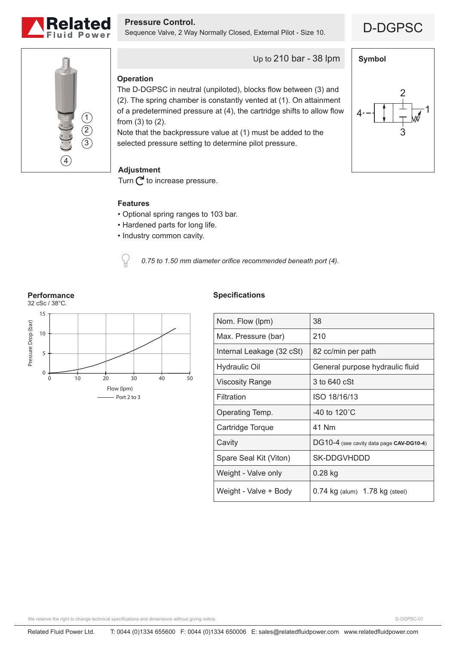

**Pressure Control.**<br>Sequence Valve, 2 Way Normally Closed, External Pilot - Size 10. **D-DGPSC** 





Up to 210 bar - 38 lpm

# **Operation**

The D-DGPSC in neutral (unpiloted), blocks flow between (3) and (2). The spring chamber is constantly vented at (1). On attainment of a predetermined pressure at (4), the cartridge shifts to allow flow from (3) to (2).

Note that the backpressure value at (1) must be added to the selected pressure setting to determine pilot pressure.

# **Adjustment**

Turn  $\bigcap$  to increase pressure.

## **Features**

- Optional spring ranges to 103 bar.
- Hardened parts for long life.
- Industry common cavity.

*0.75 to 1.50 mm diameter orifice recommended beneath port (4).*

### **Performance**



## **Specifications**

| Nom. Flow (lpm)           | 38                                       |
|---------------------------|------------------------------------------|
| Max. Pressure (bar)       | 210                                      |
| Internal Leakage (32 cSt) | 82 cc/min per path                       |
| Hydraulic Oil             | General purpose hydraulic fluid          |
| <b>Viscosity Range</b>    | 3 to 640 cSt                             |
| Filtration                | ISO 18/16/13                             |
| Operating Temp.           | -40 to 120 $^{\circ}$ C                  |
| Cartridge Torque          | 41 Nm                                    |
| Cavity                    | DG10-4 (see cavity data page CAV-DG10-4) |
| Spare Seal Kit (Viton)    | SK-DDGVHDDD                              |
| Weight - Valve only       | 0.28 kg                                  |
| Weight - Valve + Body     | $0.74$ kg (alum) $1.78$ kg (steel)       |